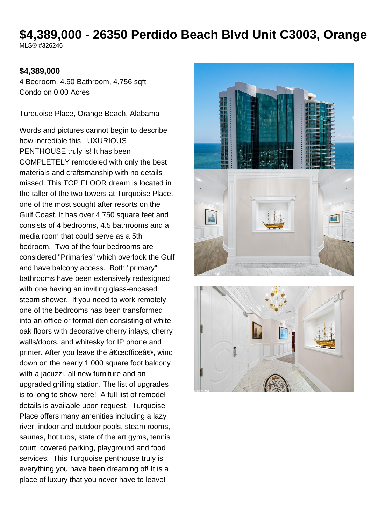# \$4,389,000 - 26350 Perdido Beach Blvd Unit C3003, Orange MLS® #326246

### **\$4,389,000**

4 Bedroom, 4.50 Bathroom, 4,756 sqft Condo on 0.00 Acres

Turquoise Place, Orange Beach, Alabama

Words and pictures cannot begin to describe how incredible this LUXURIOUS PENTHOUSE truly is! It has been COMPLETELY remodeled with only the best materials and craftsmanship with no details missed. This TOP FLOOR dream is located in the taller of the two towers at Turquoise Place, one of the most sought after resorts on the Gulf Coast. It has over 4,750 square feet and consists of 4 bedrooms, 4.5 bathrooms and a media room that could serve as a 5th bedroom. Two of the four bedrooms are considered "Primaries" which overlook the Gulf and have balcony access. Both "primary" bathrooms have been extensively redesigned with one having an inviting glass-encased steam shower. If you need to work remotely, one of the bedrooms has been transformed into an office or formal den consisting of white oak floors with decorative cherry inlays, cherry walls/doors, and whitesky for IP phone and printer. After you leave the  $a \in \mathbb{C}$ eofficea<sup>∈•</sup>, wind down on the nearly 1,000 square foot balcony with a jacuzzi, all new furniture and an upgraded grilling station. The list of upgrades is to long to show here! A full list of remodel details is available upon request. Turquoise Place offers many amenities including a lazy river, indoor and outdoor pools, steam rooms, saunas, hot tubs, state of the art gyms, tennis court, covered parking, playground and food services. This Turquoise penthouse truly is everything you have been dreaming of! It is a place of luxury that you never have to leave!



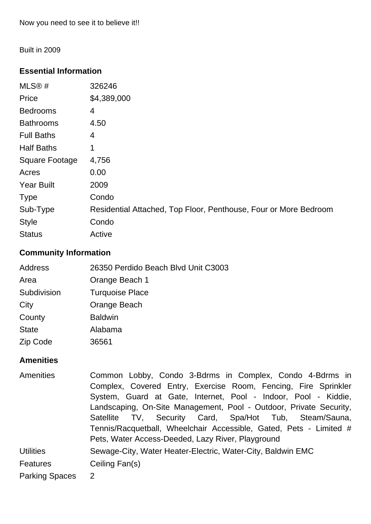Built in 2009

### **Essential Information**

| MLS@#                 | 326246                                                           |
|-----------------------|------------------------------------------------------------------|
| Price                 | \$4,389,000                                                      |
| <b>Bedrooms</b>       | 4                                                                |
| <b>Bathrooms</b>      | 4.50                                                             |
| <b>Full Baths</b>     | 4                                                                |
| <b>Half Baths</b>     | 1                                                                |
| <b>Square Footage</b> | 4,756                                                            |
| Acres                 | 0.00                                                             |
| <b>Year Built</b>     | 2009                                                             |
| <b>Type</b>           | Condo                                                            |
| Sub-Type              | Residential Attached, Top Floor, Penthouse, Four or More Bedroom |
| <b>Style</b>          | Condo                                                            |
| <b>Status</b>         | Active                                                           |

### **Community Information**

| Address      | 26350 Perdido Beach Blvd Unit C3003 |
|--------------|-------------------------------------|
| Area         | Orange Beach 1                      |
| Subdivision  | <b>Turquoise Place</b>              |
| City         | Orange Beach                        |
| County       | <b>Baldwin</b>                      |
| <b>State</b> | Alabama                             |
| Zip Code     | 36561                               |

#### **Amenities**

Amenities Common Lobby, Condo 3-Bdrms in Complex, Condo 4-Bdrms in Complex, Covered Entry, Exercise Room, Fencing, Fire Sprinkler System, Guard at Gate, Internet, Pool - Indoor, Pool - Kiddie, Landscaping, On-Site Management, Pool - Outdoor, Private Security, Satellite TV, Security Card, Spa/Hot Tub, Steam/Sauna, Tennis/Racquetball, Wheelchair Accessible, Gated, Pets - Limited # Pets, Water Access-Deeded, Lazy River, Playground Utilities Sewage-City, Water Heater-Electric, Water-City, Baldwin EMC Features Ceiling Fan(s) Parking Spaces 2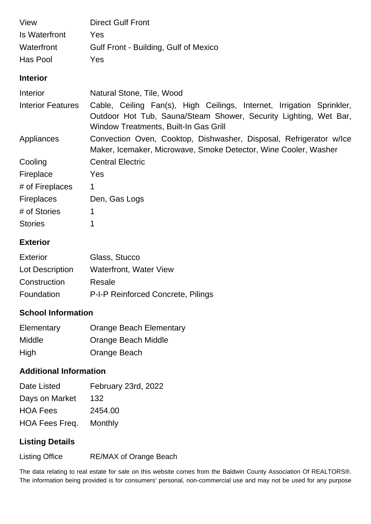| View                     | <b>Direct Gulf Front</b>                                                                                                                                                           |
|--------------------------|------------------------------------------------------------------------------------------------------------------------------------------------------------------------------------|
| Is Waterfront            | Yes                                                                                                                                                                                |
| Waterfront               | Gulf Front - Building, Gulf of Mexico                                                                                                                                              |
| Has Pool                 | Yes                                                                                                                                                                                |
| <b>Interior</b>          |                                                                                                                                                                                    |
| Interior                 | Natural Stone, Tile, Wood                                                                                                                                                          |
| <b>Interior Features</b> | Cable, Ceiling Fan(s), High Ceilings, Internet, Irrigation Sprinkler,<br>Outdoor Hot Tub, Sauna/Steam Shower, Security Lighting, Wet Bar,<br>Window Treatments, Built-In Gas Grill |
| Appliances               | Convection Oven, Cooktop, Dishwasher, Disposal, Refrigerator w/lce<br>Maker, Icemaker, Microwave, Smoke Detector, Wine Cooler, Washer                                              |
| Cooling                  | <b>Central Electric</b>                                                                                                                                                            |
| Fireplace                | Yes                                                                                                                                                                                |
| # of Fireplaces          | 1                                                                                                                                                                                  |
| <b>Fireplaces</b>        | Den, Gas Logs                                                                                                                                                                      |
| # of Stories             | 1                                                                                                                                                                                  |
| <b>Stories</b>           | 1                                                                                                                                                                                  |

### **Exterior**

| Exterior        | Glass, Stucco                      |
|-----------------|------------------------------------|
| Lot Description | <b>Waterfront, Water View</b>      |
| Construction    | Resale                             |
| Foundation      | P-I-P Reinforced Concrete, Pilings |

# **School Information**

| Elementary | <b>Orange Beach Elementary</b> |
|------------|--------------------------------|
| Middle     | Orange Beach Middle            |
| High       | Orange Beach                   |

# **Additional Information**

| Date Listed     | February 23rd, 2022 |
|-----------------|---------------------|
| Days on Market  | 132                 |
| <b>HOA Fees</b> | 2454.00             |
| HOA Fees Freq.  | Monthly             |

# **Listing Details**

Listing Office RE/MAX of Orange Beach

The data relating to real estate for sale on this website comes from the Baldwin County Association Of REALTORS®. The information being provided is for consumers' personal, non-commercial use and may not be used for any purpose